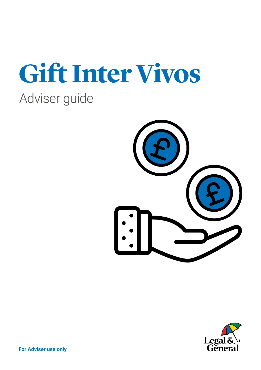# **Gift Inter Vivos** Adviser guide



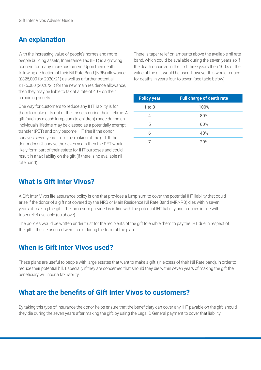# **An explanation**

With the increasing value of people's homes and more people building assets, Inheritance Tax (IHT) is a growing concern for many more customers. Upon their death, following deduction of their Nil Rate Band (NRB) allowance (£325,000 for 2020/21) as well as a further potential £175,000 (2020/21) for the new main residence allowance, then they may be liable to tax at a rate of 40% on their remaining assets.

One way for customers to reduce any IHT liability is for them to make gifts out of their assets during their lifetime. A gift (such as a cash lump sum to children) made during an individual's lifetime may be classed as a potentially exempt transfer (PET) and only become IHT free if the donor survives seven years from the making of the gift. If the donor doesn't survive the seven years then the PET would likely form part of their estate for IHT purposes and could result in a tax liability on the gift (if there is no available nil rate band).

There is taper relief on amounts above the available nil rate band, which could be available during the seven years so if the death occurred in the first three years then 100% of the value of the gift would be used, however this would reduce for deaths in years four to seven (see table below).

| <b>Policy year</b> | <b>Full charge of death rate</b> |
|--------------------|----------------------------------|
| $1$ to $3$         | 100%                             |
| 4                  | 80%                              |
| 5                  | 60%                              |
| 6                  | 40%                              |
|                    | 20%                              |

#### **What is Gift Inter Vivos?**

A Gift Inter Vivos life assurance policy is one that provides a lump sum to cover the potential IHT liability that could arise if the donor of a gift not covered by the NRB or Main Residence Nil Rate Band (MRNRB) dies within seven years of making the gift. The lump sum provided is in line with the potential IHT liability and reduces in line with taper relief available (as above).

The policies would be written under trust for the recipients of the gift to enable them to pay the IHT due in respect of the gift if the life assured were to die during the term of the plan.

#### **When is Gift Inter Vivos used?**

These plans are useful to people with large estates that want to make a gift, (in excess of their Nil Rate band), in order to reduce their potential bill. Especially if they are concerned that should they die within seven years of making the gift the beneficiary will incur a tax liability.

## **What are the benefits of Gift Inter Vivos to customers?**

By taking this type of insurance the donor helps ensure that the beneficiary can cover any IHT payable on the gift, should they die during the seven years after making the gift, by using the Legal & General payment to cover that liability.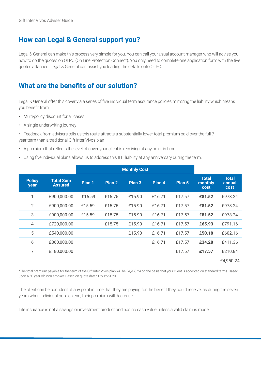# **How can Legal & General support you?**

Legal & General can make this process very simple for you. You can call your usual account manager who will advise you how to do the quotes on OLPC (On Line Protection Connect). You only need to complete one application form with the five quotes attached. Legal & General can assist you loading the details onto OLPC.

# **What are the benefits of our solution?**

Legal & General offer this cover via a series of five individual term assurance policies mirroring the liability which means you benefit from:

- Multi-policy discount for all cases
- A single underwriting journey
- Feedback from advisers tells us this route attracts a substantially lower total premium paid over the full 7 year term than a traditional Gift Inter Vivos plan
- A premium that reflects the level of cover your client is receiving at any point in time
- Using five individual plans allows us to address this IHT liability at any anniversary during the term.

|                       |                                    | <b>Monthly Cost</b> |        |                   |        |        |                                 |                                       |
|-----------------------|------------------------------------|---------------------|--------|-------------------|--------|--------|---------------------------------|---------------------------------------|
| <b>Policy</b><br>year | <b>Total Sum</b><br><b>Assured</b> | Plan 1              | Plan 2 | Plan <sub>3</sub> | Plan 4 | Plan 5 | <b>Total</b><br>monthly<br>cost | <b>Total</b><br>annual<br><b>cost</b> |
| 1                     | £900,000.00                        | £15.59              | £15.75 | £15.90            | £16.71 | £17.57 | £81.52                          | £978.24                               |
| 2                     | £900,000.00                        | £15.59              | £15.75 | £15.90            | £16.71 | £17.57 | £81.52                          | £978.24                               |
| 3                     | £900,000.00                        | £15.59              | £15.75 | £15.90            | £16.71 | £17.57 | £81.52                          | £978.24                               |
| 4                     | £720,000.00                        |                     | £15.75 | £15.90            | £16.71 | £17.57 | £65.93                          | £791.16                               |
| 5                     | £540,000.00                        |                     |        | £15.90            | £16.71 | £17.57 | £50.18                          | £602.16                               |
| 6                     | £360,000.00                        |                     |        |                   | £16.71 | £17.57 | £34.28                          | £411.36                               |
| $\overline{7}$        | £180,000.00                        |                     |        |                   |        | £17.57 | £17.57                          | £210.84                               |
|                       |                                    |                     |        |                   |        |        |                                 | £4.950.24                             |

\*The total premium payable for the term of the Gift Inter Vivos plan will be £4,950.24 on the basis that your client is accepted on standard terms. Based upon a 50 year old non-smoker. Based on quote dated 02/12/2020

The client can be confident at any point in time that they are paying for the benefit they could receive, as during the seven years when individual policies end, their premium will decrease.

Life insurance is not a savings or investment product and has no cash value unless a valid claim is made.